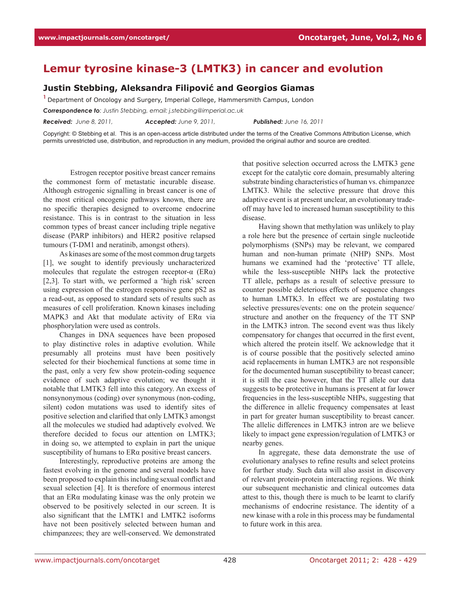## **Lemur tyrosine kinase-3 (LMTK3) in cancer and evolution**

## **Justin Stebbing, Aleksandra Filipović and Georgios Giamas**

**<sup>1</sup>**Department of Oncology and Surgery, Imperial College, Hammersmith Campus, London

*Correspondence to: Justin Stebbing, email: j.stebbing@imperial.ac.uk*

*Received: June 8, 2011, Accepted: June 9, 2011, Published: June 16, 2011*

Copyright: © Stebbing et al. This is an open-access article distributed under the terms of the Creative Commons Attribution License, which permits unrestricted use, distribution, and reproduction in any medium, provided the original author and source are credited.

Estrogen receptor positive breast cancer remains the commonest form of metastatic incurable disease. Although estrogenic signalling in breast cancer is one of the most critical oncogenic pathways known, there are no specific therapies designed to overcome endocrine resistance. This is in contrast to the situation in less common types of breast cancer including triple negative disease (PARP inhibitors) and HER2 positive relapsed tumours (T-DM1 and neratinib, amongst others).

As kinases are some of the most common drug targets [1], we sought to identify previously uncharacterized molecules that regulate the estrogen receptor- $\alpha$  (ER $\alpha$ ) [2,3]. To start with, we performed a 'high risk' screen using expression of the estrogen responsive gene pS2 as a read-out, as opposed to standard sets of results such as measures of cell proliferation. Known kinases including MAPK3 and Akt that modulate activity of ERα via phosphorylation were used as controls.

Changes in DNA sequences have been proposed to play distinctive roles in adaptive evolution. While presumably all proteins must have been positively selected for their biochemical functions at some time in the past, only a very few show protein-coding sequence evidence of such adaptive evolution; we thought it notable that LMTK3 fell into this category. An excess of nonsynonymous (coding) over synonymous (non-coding, silent) codon mutations was used to identify sites of positive selection and clarified that only LMTK3 amongst all the molecules we studied had adaptively evolved. We therefore decided to focus our attention on LMTK3; in doing so, we attempted to explain in part the unique susceptibility of humans to ERα positive breast cancers.

Interestingly, reproductive proteins are among the fastest evolving in the genome and several models have been proposed to explain this including sexual conflict and sexual selection [4]. It is therefore of enormous interest that an ERα modulating kinase was the only protein we observed to be positively selected in our screen. It is also significant that the LMTK1 and LMTK2 isoforms have not been positively selected between human and chimpanzees; they are well-conserved. We demonstrated that positive selection occurred across the LMTK3 gene except for the catalytic core domain, presumably altering substrate binding characteristics of human vs. chimpanzee LMTK3. While the selective pressure that drove this adaptive event is at present unclear, an evolutionary tradeoff may have led to increased human susceptibility to this disease.

Having shown that methylation was unlikely to play a role here but the presence of certain single nucleotide polymorphisms (SNPs) may be relevant, we compared human and non-human primate (NHP) SNPs. Most humans we examined had the 'protective' TT allele, while the less-susceptible NHPs lack the protective TT allele, perhaps as a result of selective pressure to counter possible deleterious effects of sequence changes to human LMTK3. In effect we are postulating two selective pressures/events: one on the protein sequence/ structure and another on the frequency of the TT SNP in the LMTK3 intron. The second event was thus likely compensatory for changes that occurred in the first event, which altered the protein itself. We acknowledge that it is of course possible that the positively selected amino acid replacements in human LMTK3 are not responsible for the documented human susceptibility to breast cancer; it is still the case however, that the TT allele our data suggests to be protective in humans is present at far lower frequencies in the less-susceptible NHPs, suggesting that the difference in allelic frequency compensates at least in part for greater human susceptibility to breast cancer. The allelic differences in LMTK3 intron are we believe likely to impact gene expression/regulation of LMTK3 or nearby genes.

In aggregate, these data demonstrate the use of evolutionary analyses to refine results and select proteins for further study. Such data will also assist in discovery of relevant protein-protein interacting regions. We think our subsequent mechanistic and clinical outcomes data attest to this, though there is much to be learnt to clarify mechanisms of endocrine resistance. The identity of a new kinase with a role in this process may be fundamental to future work in this area.